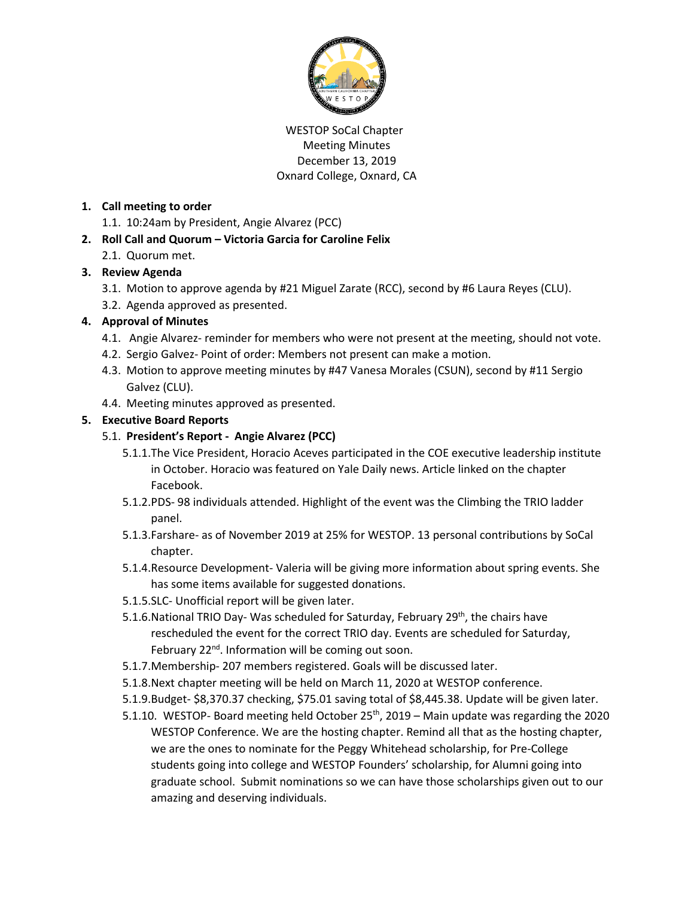

#### WESTOP SoCal Chapter Meeting Minutes December 13, 2019 Oxnard College, Oxnard, CA

#### **1. Call meeting to order**

- 1.1. 10:24am by President, Angie Alvarez (PCC)
- **2. Roll Call and Quorum – Victoria Garcia for Caroline Felix**
	- 2.1. Quorum met.

# **3. Review Agenda**

- 3.1. Motion to approve agenda by #21 Miguel Zarate (RCC), second by #6 Laura Reyes (CLU).
- 3.2. Agenda approved as presented.

# **4. Approval of Minutes**

- 4.1. Angie Alvarez- reminder for members who were not present at the meeting, should not vote.
- 4.2. Sergio Galvez- Point of order: Members not present can make a motion.
- 4.3. Motion to approve meeting minutes by #47 Vanesa Morales (CSUN), second by #11 Sergio Galvez (CLU).
- 4.4. Meeting minutes approved as presented.

# **5. Executive Board Reports**

# 5.1. **President's Report - Angie Alvarez (PCC)**

- 5.1.1.The Vice President, Horacio Aceves participated in the COE executive leadership institute in October. Horacio was featured on Yale Daily news. Article linked on the chapter Facebook.
- 5.1.2.PDS- 98 individuals attended. Highlight of the event was the Climbing the TRIO ladder panel.
- 5.1.3.Farshare- as of November 2019 at 25% for WESTOP. 13 personal contributions by SoCal chapter.
- 5.1.4.Resource Development- Valeria will be giving more information about spring events. She has some items available for suggested donations.
- 5.1.5.SLC- Unofficial report will be given later.
- 5.1.6. National TRIO Day- Was scheduled for Saturday, February 29<sup>th</sup>, the chairs have rescheduled the event for the correct TRIO day. Events are scheduled for Saturday, February 22<sup>nd</sup>. Information will be coming out soon.
- 5.1.7.Membership- 207 members registered. Goals will be discussed later.
- 5.1.8.Next chapter meeting will be held on March 11, 2020 at WESTOP conference.
- 5.1.9.Budget- \$8,370.37 checking, \$75.01 saving total of \$8,445.38. Update will be given later.
- 5.1.10. WESTOP- Board meeting held October 25<sup>th</sup>, 2019 Main update was regarding the 2020 WESTOP Conference. We are the hosting chapter. Remind all that as the hosting chapter, we are the ones to nominate for the Peggy Whitehead scholarship, for Pre-College students going into college and WESTOP Founders' scholarship, for Alumni going into graduate school. Submit nominations so we can have those scholarships given out to our amazing and deserving individuals.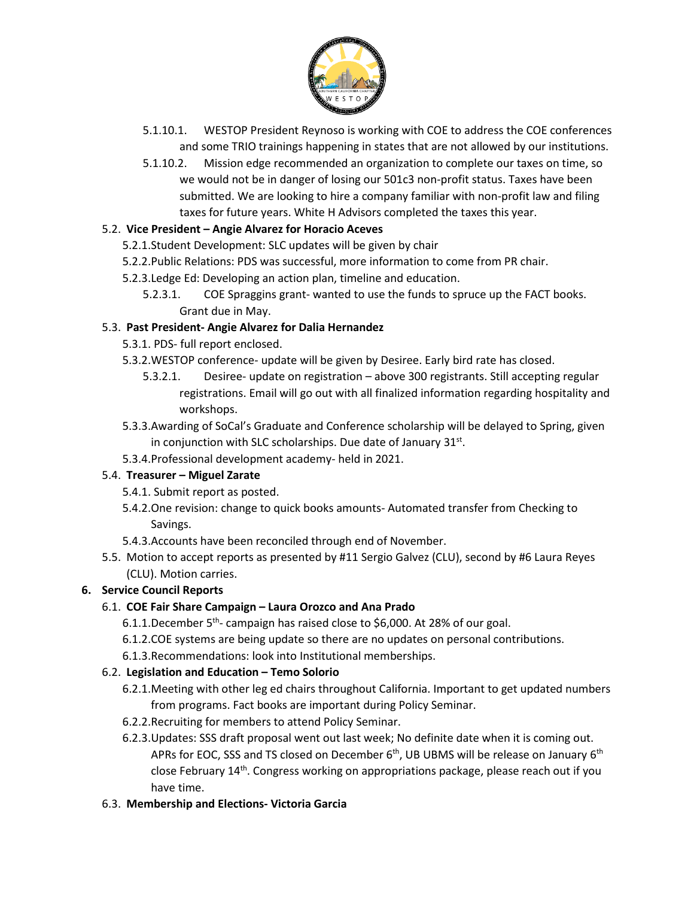

- 5.1.10.1. WESTOP President Reynoso is working with COE to address the COE conferences and some TRIO trainings happening in states that are not allowed by our institutions.
- 5.1.10.2. Mission edge recommended an organization to complete our taxes on time, so we would not be in danger of losing our 501c3 non-profit status. Taxes have been submitted. We are looking to hire a company familiar with non-profit law and filing taxes for future years. White H Advisors completed the taxes this year.

#### 5.2. **Vice President – Angie Alvarez for Horacio Aceves**

- 5.2.1.Student Development: SLC updates will be given by chair
- 5.2.2.Public Relations: PDS was successful, more information to come from PR chair.
- 5.2.3.Ledge Ed: Developing an action plan, timeline and education.
	- 5.2.3.1. COE Spraggins grant- wanted to use the funds to spruce up the FACT books. Grant due in May.

#### 5.3. **Past President- Angie Alvarez for Dalia Hernandez**

- 5.3.1. PDS- full report enclosed.
- 5.3.2.WESTOP conference- update will be given by Desiree. Early bird rate has closed.
	- 5.3.2.1. Desiree- update on registration above 300 registrants. Still accepting regular registrations. Email will go out with all finalized information regarding hospitality and workshops.
- 5.3.3.Awarding of SoCal's Graduate and Conference scholarship will be delayed to Spring, given in conjunction with SLC scholarships. Due date of January  $31^{st}$ .
- 5.3.4.Professional development academy- held in 2021.

# 5.4. **Treasurer – Miguel Zarate**

- 5.4.1. Submit report as posted.
- 5.4.2.One revision: change to quick books amounts- Automated transfer from Checking to Savings.
- 5.4.3.Accounts have been reconciled through end of November.
- 5.5. Motion to accept reports as presented by #11 Sergio Galvez (CLU), second by #6 Laura Reyes (CLU). Motion carries.

#### **6. Service Council Reports**

# 6.1. **COE Fair Share Campaign – Laura Orozco and Ana Prado**

- 6.1.1.December 5<sup>th</sup>- campaign has raised close to \$6,000. At 28% of our goal.
- 6.1.2.COE systems are being update so there are no updates on personal contributions.
- 6.1.3.Recommendations: look into Institutional memberships.

#### 6.2. **Legislation and Education – Temo Solorio**

- 6.2.1.Meeting with other leg ed chairs throughout California. Important to get updated numbers from programs. Fact books are important during Policy Seminar.
- 6.2.2.Recruiting for members to attend Policy Seminar.
- 6.2.3.Updates: SSS draft proposal went out last week; No definite date when it is coming out. APRs for EOC, SSS and TS closed on December  $6<sup>th</sup>$ , UB UBMS will be release on January  $6<sup>th</sup>$ close February 14th. Congress working on appropriations package, please reach out if you have time.
- 6.3. **Membership and Elections- Victoria Garcia**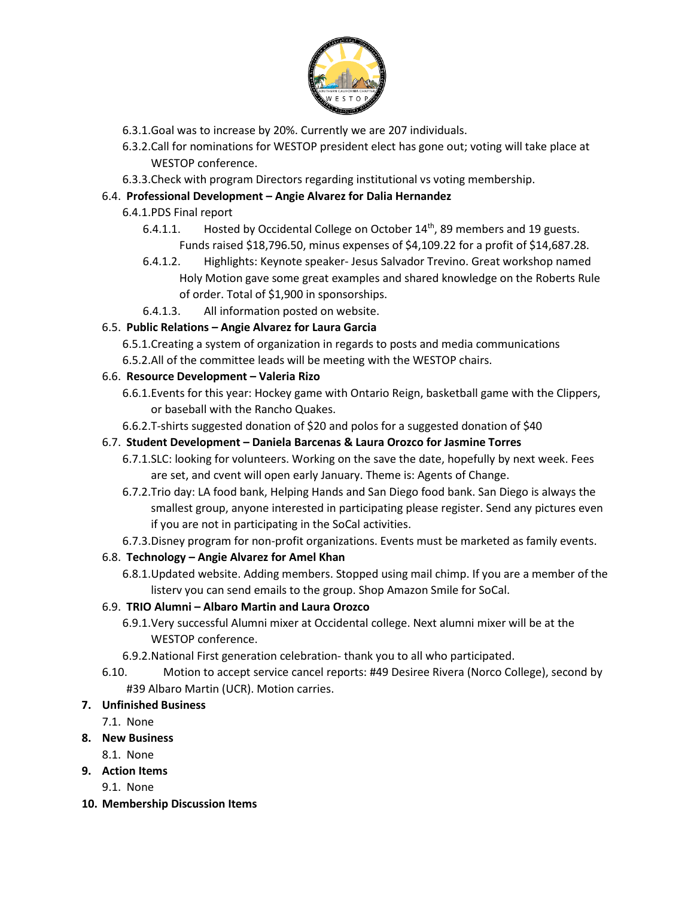

- 6.3.1.Goal was to increase by 20%. Currently we are 207 individuals.
- 6.3.2.Call for nominations for WESTOP president elect has gone out; voting will take place at WESTOP conference.
- 6.3.3.Check with program Directors regarding institutional vs voting membership.

# 6.4. **Professional Development – Angie Alvarez for Dalia Hernandez**

- 6.4.1.PDS Final report
	- 6.4.1.1. Hosted by Occidental College on October 14<sup>th</sup>, 89 members and 19 guests. Funds raised \$18,796.50, minus expenses of \$4,109.22 for a profit of \$14,687.28.
	- 6.4.1.2. Highlights: Keynote speaker- Jesus Salvador Trevino. Great workshop named Holy Motion gave some great examples and shared knowledge on the Roberts Rule of order. Total of \$1,900 in sponsorships.
	- 6.4.1.3. All information posted on website.

# 6.5. **Public Relations – Angie Alvarez for Laura Garcia**

- 6.5.1.Creating a system of organization in regards to posts and media communications
- 6.5.2.All of the committee leads will be meeting with the WESTOP chairs.

# 6.6. **Resource Development – Valeria Rizo**

- 6.6.1.Events for this year: Hockey game with Ontario Reign, basketball game with the Clippers, or baseball with the Rancho Quakes.
- 6.6.2.T-shirts suggested donation of \$20 and polos for a suggested donation of \$40

# 6.7. **Student Development – Daniela Barcenas & Laura Orozco for Jasmine Torres**

- 6.7.1.SLC: looking for volunteers. Working on the save the date, hopefully by next week. Fees are set, and cvent will open early January. Theme is: Agents of Change.
- 6.7.2.Trio day: LA food bank, Helping Hands and San Diego food bank. San Diego is always the smallest group, anyone interested in participating please register. Send any pictures even if you are not in participating in the SoCal activities.
- 6.7.3.Disney program for non-profit organizations. Events must be marketed as family events.

# 6.8. **Technology – Angie Alvarez for Amel Khan**

6.8.1.Updated website. Adding members. Stopped using mail chimp. If you are a member of the listerv you can send emails to the group. Shop Amazon Smile for SoCal.

# 6.9. **TRIO Alumni – Albaro Martin and Laura Orozco**

- 6.9.1.Very successful Alumni mixer at Occidental college. Next alumni mixer will be at the WESTOP conference.
- 6.9.2.National First generation celebration- thank you to all who participated.
- 6.10. Motion to accept service cancel reports: #49 Desiree Rivera (Norco College), second by #39 Albaro Martin (UCR). Motion carries.

# **7. Unfinished Business**

7.1. None

# **8. New Business**

- 8.1. None
- **9. Action Items**
	- 9.1. None
- **10. Membership Discussion Items**